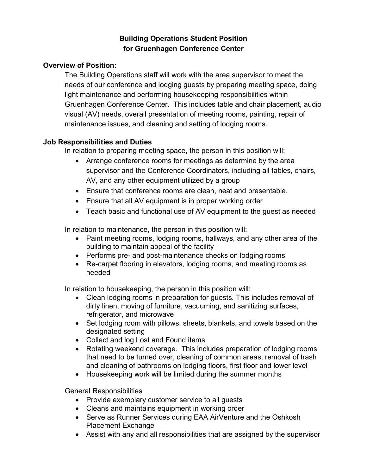# **Building Operations Student Position for Gruenhagen Conference Center**

### **Overview of Position:**

The Building Operations staff will work with the area supervisor to meet the needs of our conference and lodging guests by preparing meeting space, doing light maintenance and performing housekeeping responsibilities within Gruenhagen Conference Center. This includes table and chair placement, audio visual (AV) needs, overall presentation of meeting rooms, painting, repair of maintenance issues, and cleaning and setting of lodging rooms.

#### **Job Responsibilities and Duties**

In relation to preparing meeting space, the person in this position will:

- Arrange conference rooms for meetings as determine by the area supervisor and the Conference Coordinators, including all tables, chairs, AV, and any other equipment utilized by a group
- Ensure that conference rooms are clean, neat and presentable.
- Ensure that all AV equipment is in proper working order
- Teach basic and functional use of AV equipment to the guest as needed

In relation to maintenance, the person in this position will:

- Paint meeting rooms, lodging rooms, hallways, and any other area of the building to maintain appeal of the facility
- Performs pre- and post-maintenance checks on lodging rooms
- Re-carpet flooring in elevators, lodging rooms, and meeting rooms as needed

In relation to housekeeping, the person in this position will:

- Clean lodging rooms in preparation for guests. This includes removal of dirty linen, moving of furniture, vacuuming, and sanitizing surfaces, refrigerator, and microwave
- Set lodging room with pillows, sheets, blankets, and towels based on the designated setting
- Collect and log Lost and Found items
- Rotating weekend coverage. This includes preparation of lodging rooms that need to be turned over, cleaning of common areas, removal of trash and cleaning of bathrooms on lodging floors, first floor and lower level
- Housekeeping work will be limited during the summer months

General Responsibilities

- Provide exemplary customer service to all quests
- Cleans and maintains equipment in working order
- Serve as Runner Services during EAA AirVenture and the Oshkosh Placement Exchange
- Assist with any and all responsibilities that are assigned by the supervisor